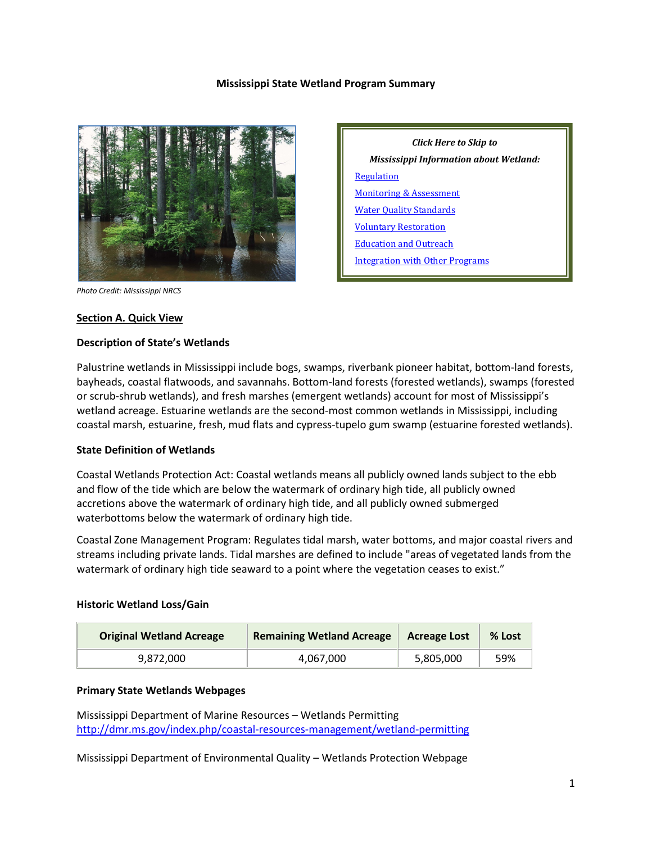#### **Mississippi State Wetland Program Summary**



*Photo Credit: Mississippi NRCS*

#### **Section A. Quick View**

#### **Description of State's Wetlands**

Palustrine wetlands in Mississippi include bogs, swamps, riverbank pioneer habitat, bottom-land forests, bayheads, coastal flatwoods, and savannahs. Bottom-land forests (forested wetlands), swamps (forested or scrub-shrub wetlands), and fresh marshes (emergent wetlands) account for most of Mississippi's wetland acreage. Estuarine wetlands are the second-most common wetlands in Mississippi, including coastal marsh, estuarine, fresh, mud flats and cypress-tupelo gum swamp (estuarine forested wetlands).

#### **State Definition of Wetlands**

Coastal Wetlands Protection Act: Coastal wetlands means all publicly owned lands subject to the ebb and flow of the tide which are below the watermark of ordinary high tide, all publicly owned accretions above the watermark of ordinary high tide, and all publicly owned submerged waterbottoms below the watermark of ordinary high tide.

Coastal Zone Management Program: Regulates tidal marsh, water bottoms, and major coastal rivers and streams including private lands. Tidal marshes are defined to include "areas of vegetated lands from the watermark of ordinary high tide seaward to a point where the vegetation ceases to exist."

#### **Historic Wetland Loss/Gain**

| <b>Original Wetland Acreage</b> | <b>Remaining Wetland Acreage</b> | <b>Acreage Lost</b> | % Lost |
|---------------------------------|----------------------------------|---------------------|--------|
| 9,872,000                       | 4.067.000                        | 5,805,000           | 59%    |

#### **Primary State Wetlands Webpages**

Mississippi Department of Marine Resources – Wetlands Permitting <http://dmr.ms.gov/index.php/coastal-resources-management/wetland-permitting>

Mississippi Department of Environmental Quality – Wetlands Protection Webpage

*Click Here to Skip to Mississippi Information about Wetland:* **[Regulation](#page-2-0)** [Monitoring & Assessment](#page-4-0) [Water Quality Standards](#page-5-0) [Voluntary Restoration](#page-6-0) [Education and Outreach](#page-7-0) [Integration with Other Programs](#page-7-1)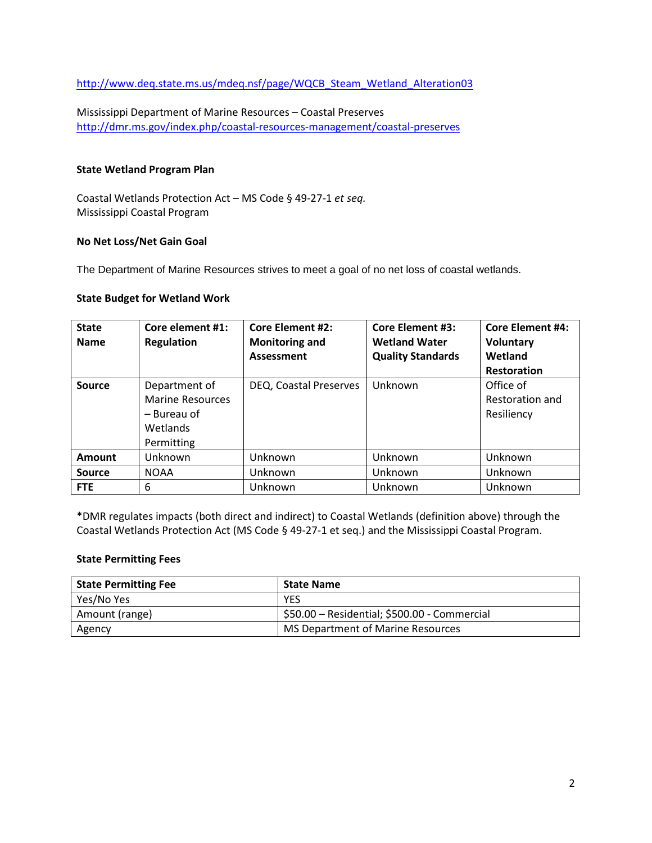[http://www.deq.state.ms.us/mdeq.nsf/page/WQCB\\_Steam\\_Wetland\\_Alteration03](http://www.deq.state.ms.us/mdeq.nsf/page/WQCB_Steam_Wetland_Alteration03)

Mississippi Department of Marine Resources – Coastal Preserves <http://dmr.ms.gov/index.php/coastal-resources-management/coastal-preserves>

#### **State Wetland Program Plan**

Coastal Wetlands Protection Act – MS Code § 49-27-1 *et seq.* Mississippi Coastal Program

#### **No Net Loss/Net Gain Goal**

The Department of Marine Resources strives to meet a goal of no net loss of coastal wetlands.

## **State Budget for Wetland Work**

| <b>State</b><br><b>Name</b> | Core element #1:<br><b>Regulation</b>                                             | <b>Core Element #2:</b><br><b>Monitoring and</b><br>Assessment | <b>Core Element #3:</b><br><b>Wetland Water</b><br><b>Quality Standards</b> | <b>Core Element #4:</b><br><b>Voluntary</b><br>Wetland<br><b>Restoration</b> |
|-----------------------------|-----------------------------------------------------------------------------------|----------------------------------------------------------------|-----------------------------------------------------------------------------|------------------------------------------------------------------------------|
| <b>Source</b>               | Department of<br><b>Marine Resources</b><br>– Bureau of<br>Wetlands<br>Permitting | DEQ, Coastal Preserves                                         | Unknown                                                                     | Office of<br>Restoration and<br>Resiliency                                   |
| <b>Amount</b>               | Unknown                                                                           | Unknown                                                        | Unknown                                                                     | Unknown                                                                      |
| Source                      | <b>NOAA</b>                                                                       | Unknown                                                        | Unknown                                                                     | Unknown                                                                      |
| <b>FTE</b>                  | 6                                                                                 | Unknown                                                        | Unknown                                                                     | Unknown                                                                      |

\*DMR regulates impacts (both direct and indirect) to Coastal Wetlands (definition above) through the Coastal Wetlands Protection Act (MS Code § 49-27-1 et seq.) and the Mississippi Coastal Program.

#### **State Permitting Fees**

| <b>State Permitting Fee</b> | <b>State Name</b>                            |
|-----------------------------|----------------------------------------------|
| Yes/No Yes                  | <b>YES</b>                                   |
| Amount (range)              | \$50.00 - Residential; \$500.00 - Commercial |
| Agency                      | MS Department of Marine Resources            |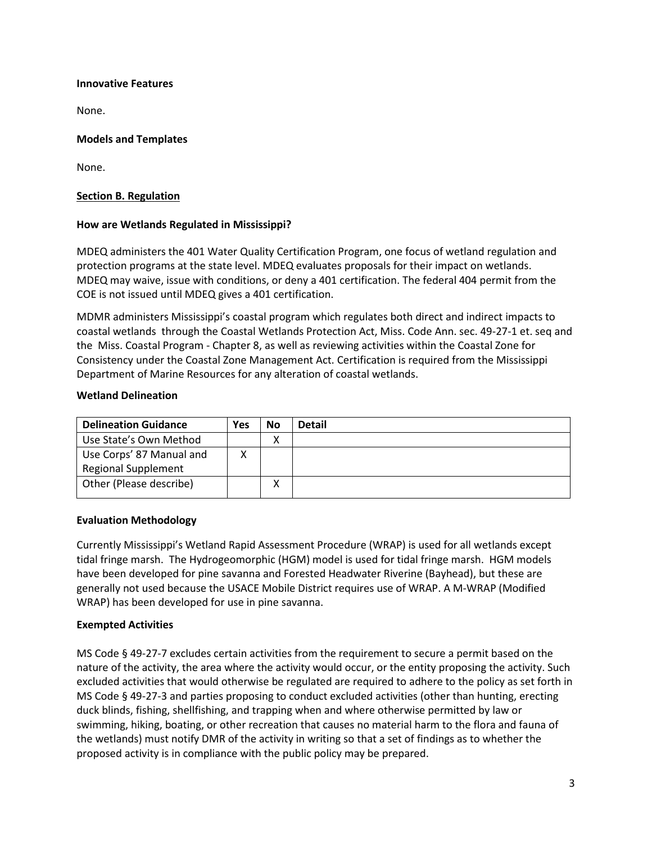## **Innovative Features**

None.

# **Models and Templates**

None.

# <span id="page-2-0"></span>**Section B. Regulation**

# **How are Wetlands Regulated in Mississippi?**

MDEQ administers the 401 Water Quality Certification Program, one focus of wetland regulation and protection programs at the state level. MDEQ evaluates proposals for their impact on wetlands. MDEQ may waive, issue with conditions, or deny a 401 certification. The federal 404 permit from the COE is not issued until MDEQ gives a 401 certification.

MDMR administers Mississippi's coastal program which regulates both direct and indirect impacts to coastal wetlands through the Coastal Wetlands Protection Act, Miss. Code Ann. sec. 49-27-1 et. seq and the Miss. Coastal Program - Chapter 8, as well as reviewing activities within the Coastal Zone for Consistency under the Coastal Zone Management Act. Certification is required from the Mississippi Department of Marine Resources for any alteration of coastal wetlands.

## **Wetland Delineation**

| <b>Delineation Guidance</b> | Yes | No     | <b>Detail</b> |
|-----------------------------|-----|--------|---------------|
| Use State's Own Method      |     | v<br>Λ |               |
| Use Corps' 87 Manual and    |     |        |               |
| <b>Regional Supplement</b>  |     |        |               |
| Other (Please describe)     |     |        |               |
|                             |     |        |               |

## **Evaluation Methodology**

Currently Mississippi's Wetland Rapid Assessment Procedure (WRAP) is used for all wetlands except tidal fringe marsh. The Hydrogeomorphic (HGM) model is used for tidal fringe marsh. HGM models have been developed for pine savanna and Forested Headwater Riverine (Bayhead), but these are generally not used because the USACE Mobile District requires use of WRAP. A M-WRAP (Modified WRAP) has been developed for use in pine savanna.

# **Exempted Activities**

MS Code § 49-27-7 excludes certain activities from the requirement to secure a permit based on the nature of the activity, the area where the activity would occur, or the entity proposing the activity. Such excluded activities that would otherwise be regulated are required to adhere to the policy as set forth in MS Code § 49-27-3 and parties proposing to conduct excluded activities (other than hunting, erecting duck blinds, fishing, shellfishing, and trapping when and where otherwise permitted by law or swimming, hiking, boating, or other recreation that causes no material harm to the flora and fauna of the wetlands) must notify DMR of the activity in writing so that a set of findings as to whether the proposed activity is in compliance with the public policy may be prepared.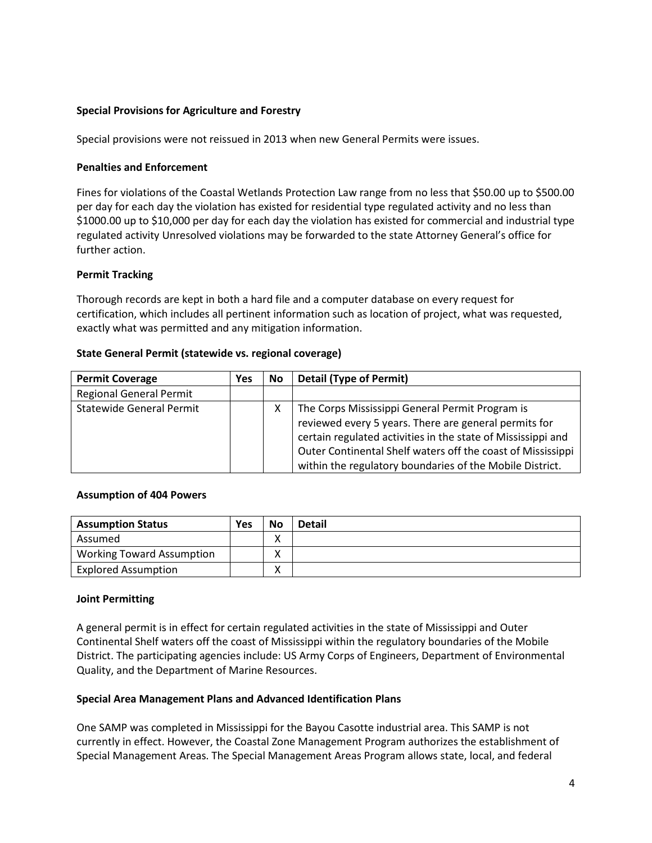## **Special Provisions for Agriculture and Forestry**

Special provisions were not reissued in 2013 when new General Permits were issues.

#### **Penalties and Enforcement**

Fines for violations of the Coastal Wetlands Protection Law range from no less that \$50.00 up to \$500.00 per day for each day the violation has existed for residential type regulated activity and no less than \$1000.00 up to \$10,000 per day for each day the violation has existed for commercial and industrial type regulated activity Unresolved violations may be forwarded to the state Attorney General's office for further action.

#### **Permit Tracking**

Thorough records are kept in both a hard file and a computer database on every request for certification, which includes all pertinent information such as location of project, what was requested, exactly what was permitted and any mitigation information.

#### **State General Permit (statewide vs. regional coverage)**

| <b>Permit Coverage</b>          | <b>Yes</b> | <b>No</b> | <b>Detail (Type of Permit)</b>                               |
|---------------------------------|------------|-----------|--------------------------------------------------------------|
| <b>Regional General Permit</b>  |            |           |                                                              |
| <b>Statewide General Permit</b> |            | х         | The Corps Mississippi General Permit Program is              |
|                                 |            |           | reviewed every 5 years. There are general permits for        |
|                                 |            |           | certain regulated activities in the state of Mississippi and |
|                                 |            |           | Outer Continental Shelf waters off the coast of Mississippi  |
|                                 |            |           | within the regulatory boundaries of the Mobile District.     |

#### **Assumption of 404 Powers**

| <b>Assumption Status</b>         | Yes | <b>No</b> | <b>Detail</b> |
|----------------------------------|-----|-----------|---------------|
| Assumed                          |     |           |               |
| <b>Working Toward Assumption</b> |     |           |               |
| <b>Explored Assumption</b>       |     |           |               |

#### **Joint Permitting**

A general permit is in effect for certain regulated activities in the state of Mississippi and Outer Continental Shelf waters off the coast of Mississippi within the regulatory boundaries of the Mobile District. The participating agencies include: US Army Corps of Engineers, Department of Environmental Quality, and the Department of Marine Resources.

## **Special Area Management Plans and Advanced Identification Plans**

One SAMP was completed in Mississippi for the Bayou Casotte industrial area. This SAMP is not currently in effect. However, the Coastal Zone Management Program authorizes the establishment of Special Management Areas. The Special Management Areas Program allows state, local, and federal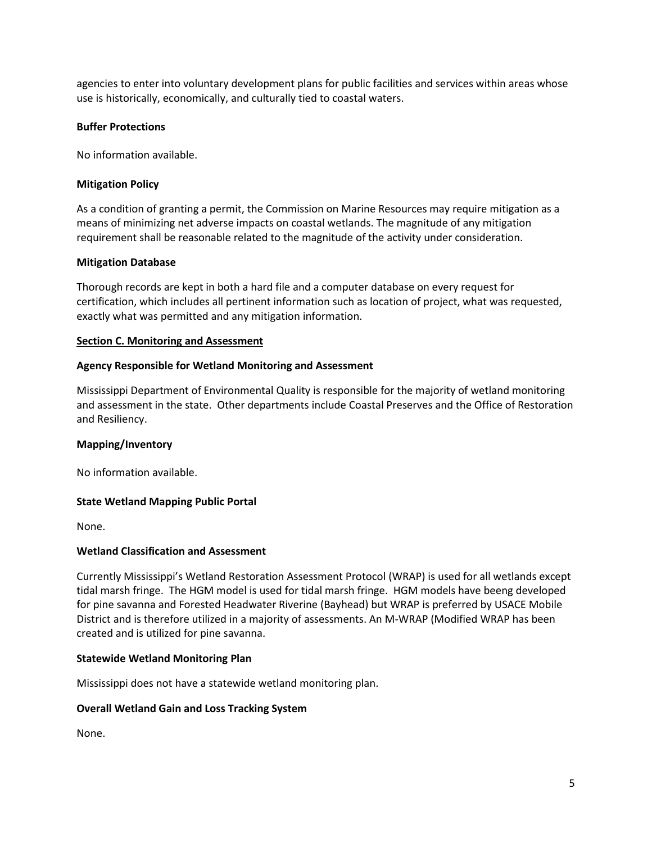agencies to enter into voluntary development plans for public facilities and services within areas whose use is historically, economically, and culturally tied to coastal waters.

# **Buffer Protections**

No information available.

# **Mitigation Policy**

As a condition of granting a permit, the Commission on Marine Resources may require mitigation as a means of minimizing net adverse impacts on coastal wetlands. The magnitude of any mitigation requirement shall be reasonable related to the magnitude of the activity under consideration.

## **Mitigation Database**

Thorough records are kept in both a hard file and a computer database on every request for certification, which includes all pertinent information such as location of project, what was requested, exactly what was permitted and any mitigation information.

## <span id="page-4-0"></span>**Section C. Monitoring and Assessment**

# **Agency Responsible for Wetland Monitoring and Assessment**

Mississippi Department of Environmental Quality is responsible for the majority of wetland monitoring and assessment in the state. Other departments include Coastal Preserves and the Office of Restoration and Resiliency.

## **Mapping/Inventory**

No information available.

## **State Wetland Mapping Public Portal**

None.

## **Wetland Classification and Assessment**

Currently Mississippi's Wetland Restoration Assessment Protocol (WRAP) is used for all wetlands except tidal marsh fringe. The HGM model is used for tidal marsh fringe. HGM models have beeng developed for pine savanna and Forested Headwater Riverine (Bayhead) but WRAP is preferred by USACE Mobile District and is therefore utilized in a majority of assessments. An M-WRAP (Modified WRAP has been created and is utilized for pine savanna.

## **Statewide Wetland Monitoring Plan**

Mississippi does not have a statewide wetland monitoring plan.

## **Overall Wetland Gain and Loss Tracking System**

None.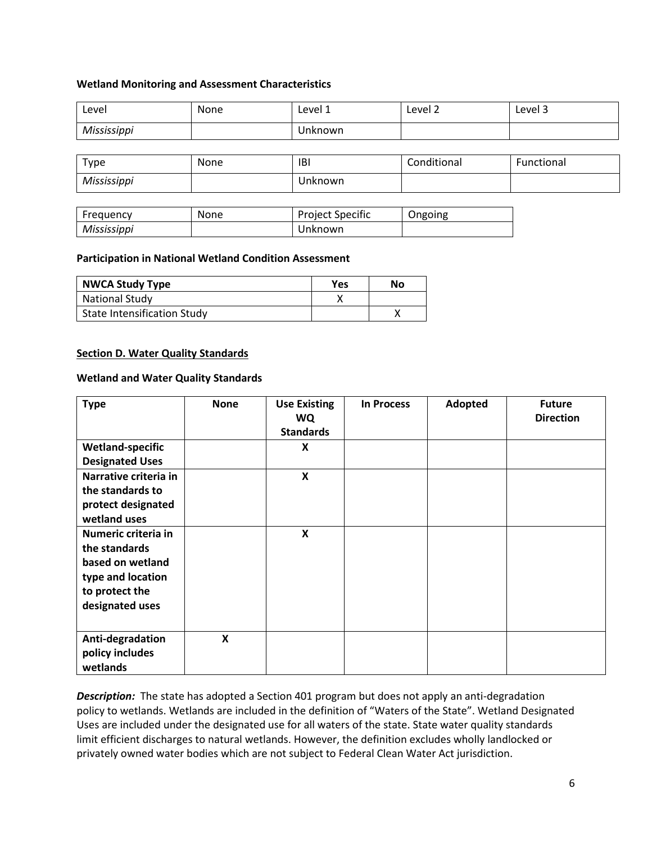#### **Wetland Monitoring and Assessment Characteristics**

| ∟evel       | <b>None</b> | Level 1 | Level 2 | Level 3 |
|-------------|-------------|---------|---------|---------|
| Mississippi |             | Unknown |         |         |

| $\tau_{\rm \gamma pe}$ | None | IBI     | Conditional | Functional |
|------------------------|------|---------|-------------|------------|
| Mississippi            |      | Unknown |             |            |

| Frequency   | <b>None</b> | <b>Project Specific</b> | Ongoing |
|-------------|-------------|-------------------------|---------|
| Mississippi |             | Unknown                 |         |

#### **Participation in National Wetland Condition Assessment**

| <b>NWCA Study Type</b>             | Yes | No |
|------------------------------------|-----|----|
| <b>National Study</b>              |     |    |
| <b>State Intensification Study</b> |     |    |

#### <span id="page-5-0"></span>**Section D. Water Quality Standards**

#### **Wetland and Water Quality Standards**

| <b>Type</b>                                                                                                        | <b>None</b>               | <b>Use Existing</b><br><b>WQ</b><br><b>Standards</b> | <b>In Process</b> | Adopted | <b>Future</b><br><b>Direction</b> |
|--------------------------------------------------------------------------------------------------------------------|---------------------------|------------------------------------------------------|-------------------|---------|-----------------------------------|
| <b>Wetland-specific</b><br><b>Designated Uses</b>                                                                  |                           | X                                                    |                   |         |                                   |
| Narrative criteria in<br>the standards to<br>protect designated<br>wetland uses                                    |                           | $\boldsymbol{\mathsf{x}}$                            |                   |         |                                   |
| Numeric criteria in<br>the standards<br>based on wetland<br>type and location<br>to protect the<br>designated uses |                           | $\boldsymbol{\mathsf{x}}$                            |                   |         |                                   |
| Anti-degradation<br>policy includes<br>wetlands                                                                    | $\boldsymbol{\mathsf{x}}$ |                                                      |                   |         |                                   |

*Description:* The state has adopted a Section 401 program but does not apply an anti-degradation policy to wetlands. Wetlands are included in the definition of "Waters of the State". Wetland Designated Uses are included under the designated use for all waters of the state. State water quality standards limit efficient discharges to natural wetlands. However, the definition excludes wholly landlocked or privately owned water bodies which are not subject to Federal Clean Water Act jurisdiction.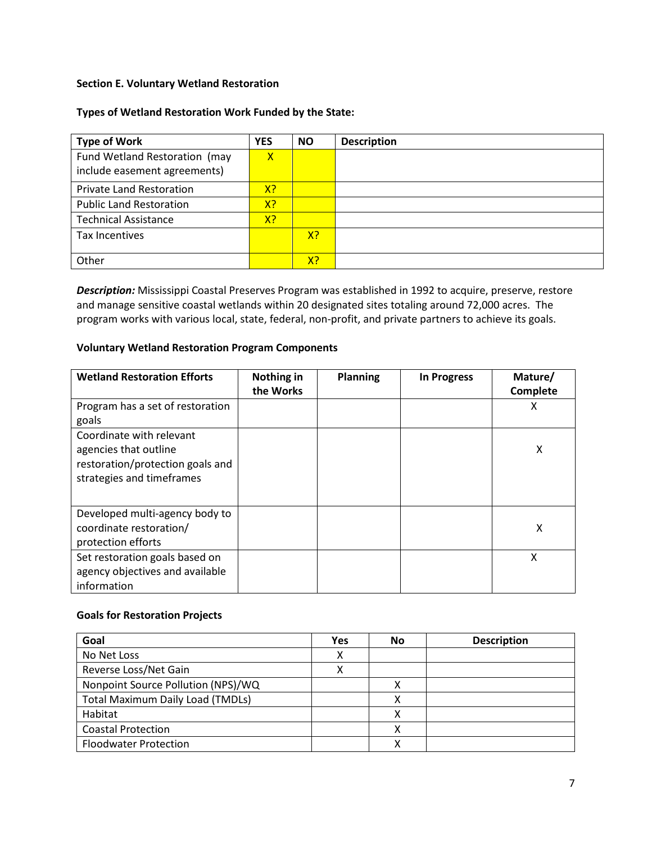# <span id="page-6-0"></span>**Section E. Voluntary Wetland Restoration**

# **Types of Wetland Restoration Work Funded by the State:**

| <b>Type of Work</b>             | <b>YES</b>     | <b>NO</b> | <b>Description</b> |
|---------------------------------|----------------|-----------|--------------------|
| Fund Wetland Restoration (may   | $\mathsf{X}$   |           |                    |
| include easement agreements)    |                |           |                    |
| <b>Private Land Restoration</b> | X <sup>2</sup> |           |                    |
| <b>Public Land Restoration</b>  | X?             |           |                    |
| <b>Technical Assistance</b>     | X <sub>2</sub> |           |                    |
| Tax Incentives                  |                | X?        |                    |
| Other                           |                | X?        |                    |

*Description:* Mississippi Coastal Preserves Program was established in 1992 to acquire, preserve, restore and manage sensitive coastal wetlands within 20 designated sites totaling around 72,000 acres. The program works with various local, state, federal, non-profit, and private partners to achieve its goals.

#### **Voluntary Wetland Restoration Program Components**

| <b>Wetland Restoration Efforts</b>                                                                                 | Nothing in<br>the Works | <b>Planning</b> | In Progress | Mature/<br>Complete |
|--------------------------------------------------------------------------------------------------------------------|-------------------------|-----------------|-------------|---------------------|
| Program has a set of restoration<br>goals                                                                          |                         |                 |             | х                   |
| Coordinate with relevant<br>agencies that outline<br>restoration/protection goals and<br>strategies and timeframes |                         |                 |             | x                   |
| Developed multi-agency body to<br>coordinate restoration/<br>protection efforts                                    |                         |                 |             | x                   |
| Set restoration goals based on<br>agency objectives and available<br>information                                   |                         |                 |             | X                   |

## **Goals for Restoration Projects**

| Goal                                    | Yes | No | <b>Description</b> |
|-----------------------------------------|-----|----|--------------------|
| No Net Loss                             | х   |    |                    |
| Reverse Loss/Net Gain                   |     |    |                    |
| Nonpoint Source Pollution (NPS)/WQ      |     | x  |                    |
| <b>Total Maximum Daily Load (TMDLs)</b> |     | v  |                    |
| Habitat                                 |     | x  |                    |
| <b>Coastal Protection</b>               |     | χ  |                    |
| <b>Floodwater Protection</b>            |     |    |                    |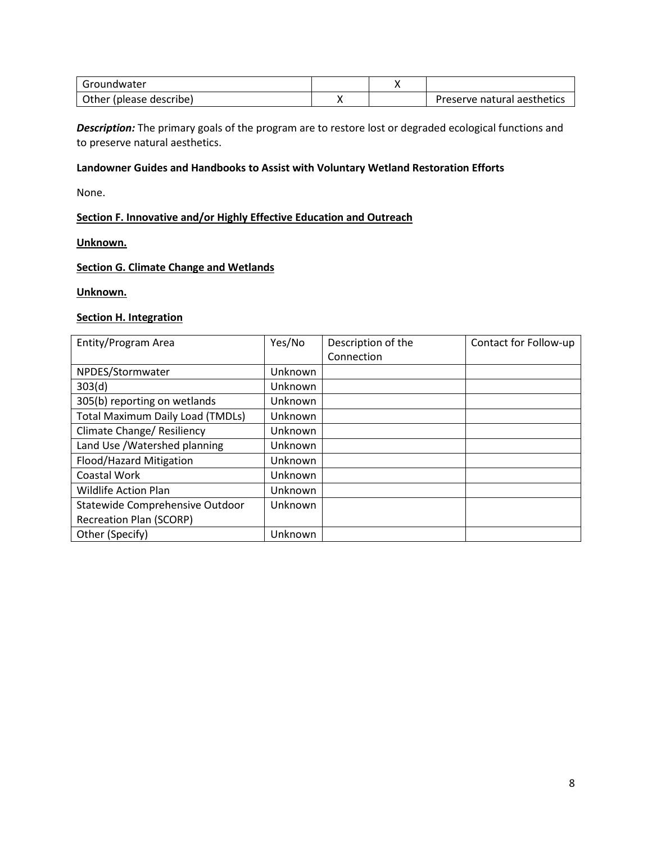| Groundwater                |  |                             |
|----------------------------|--|-----------------------------|
| Other<br>(please describe) |  | Preserve natural aesthetics |

*Description:* The primary goals of the program are to restore lost or degraded ecological functions and to preserve natural aesthetics.

# **Landowner Guides and Handbooks to Assist with Voluntary Wetland Restoration Efforts**

None.

# <span id="page-7-0"></span>**Section F. Innovative and/or Highly Effective Education and Outreach**

#### **Unknown.**

#### **Section G. Climate Change and Wetlands**

## **Unknown.**

#### <span id="page-7-1"></span>**Section H. Integration**

| Entity/Program Area                     | Yes/No  | Description of the | Contact for Follow-up |
|-----------------------------------------|---------|--------------------|-----------------------|
|                                         |         | Connection         |                       |
| NPDES/Stormwater                        | Unknown |                    |                       |
| 303(d)                                  | Unknown |                    |                       |
| 305(b) reporting on wetlands            | Unknown |                    |                       |
| <b>Total Maximum Daily Load (TMDLs)</b> | Unknown |                    |                       |
| Climate Change/ Resiliency              | Unknown |                    |                       |
| Land Use /Watershed planning            | Unknown |                    |                       |
| Flood/Hazard Mitigation                 | Unknown |                    |                       |
| <b>Coastal Work</b>                     | Unknown |                    |                       |
| <b>Wildlife Action Plan</b>             | Unknown |                    |                       |
| Statewide Comprehensive Outdoor         | Unknown |                    |                       |
| <b>Recreation Plan (SCORP)</b>          |         |                    |                       |
| Other (Specify)                         | Unknown |                    |                       |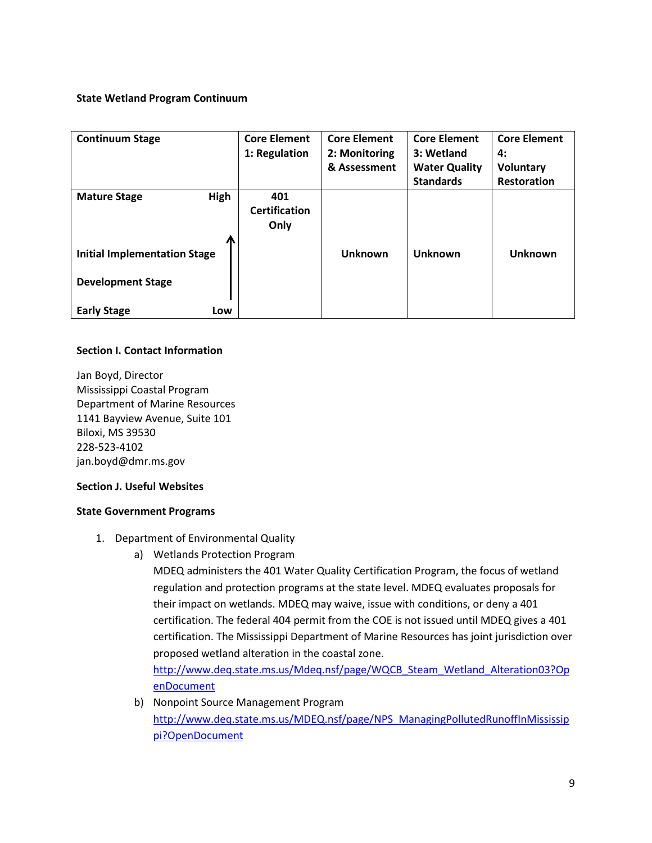# **State Wetland Program Continuum**

| <b>Continuum Stage</b>              | <b>Core Element</b><br>1: Regulation | <b>Core Element</b><br>2: Monitoring | <b>Core Element</b><br>3: Wetland | <b>Core Element</b><br>4: |
|-------------------------------------|--------------------------------------|--------------------------------------|-----------------------------------|---------------------------|
|                                     |                                      | & Assessment                         | <b>Water Quality</b>              | <b>Voluntary</b>          |
|                                     |                                      |                                      | <b>Standards</b>                  | <b>Restoration</b>        |
| High<br><b>Mature Stage</b>         | 401<br><b>Certification</b><br>Only  |                                      |                                   |                           |
| <b>Initial Implementation Stage</b> |                                      | <b>Unknown</b>                       | <b>Unknown</b>                    | <b>Unknown</b>            |
| <b>Development Stage</b>            |                                      |                                      |                                   |                           |
| <b>Early Stage</b><br>Low           |                                      |                                      |                                   |                           |

# **Section I. Contact Information**

Jan Boyd, Director Mississippi Coastal Program Department of Marine Resources 1141 Bayview Avenue, Suite 101 Biloxi, MS 39530 228-523-4102 jan.boyd@dmr.ms.gov

## **Section J. Useful Websites**

## **State Government Programs**

- 1. Department of Environmental Quality
	- a) Wetlands Protection Program

MDEQ administers the 401 Water Quality Certification Program, the focus of wetland regulation and protection programs at the state level. MDEQ evaluates proposals for their impact on wetlands. MDEQ may waive, issue with conditions, or deny a 401 certification. The federal 404 permit from the COE is not issued until MDEQ gives a 401 certification. The Mississippi Department of Marine Resources has joint jurisdiction over proposed wetland alteration in the coastal zone.

[http://www.deq.state.ms.us/Mdeq.nsf/page/WQCB\\_Steam\\_Wetland\\_Alteration03?Op](http://www.deq.state.ms.us/Mdeq.nsf/page/WQCB_Steam_Wetland_Alteration03?OpenDocument) [enDocument](http://www.deq.state.ms.us/Mdeq.nsf/page/WQCB_Steam_Wetland_Alteration03?OpenDocument)

b) Nonpoint Source Management Program [http://www.deq.state.ms.us/MDEQ.nsf/page/NPS\\_ManagingPollutedRunoffInMississip](http://www.deq.state.ms.us/MDEQ.nsf/page/NPS_ManagingPollutedRunoffInMississippi?OpenDocument) [pi?OpenDocument](http://www.deq.state.ms.us/MDEQ.nsf/page/NPS_ManagingPollutedRunoffInMississippi?OpenDocument)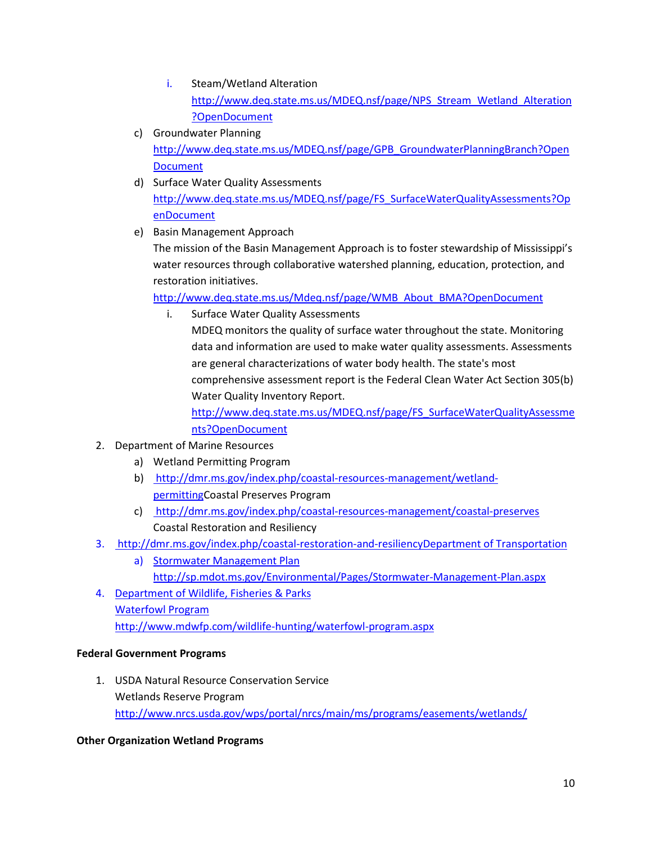- i. Steam/Wetland Alteration [http://www.deq.state.ms.us/MDEQ.nsf/page/NPS\\_Stream\\_Wetland\\_Alteration](http://www.deq.state.ms.us/MDEQ.nsf/page/NPS_Stream_Wetland_Alteration?OpenDocument) [?OpenDocument](http://www.deq.state.ms.us/MDEQ.nsf/page/NPS_Stream_Wetland_Alteration?OpenDocument)
- c) Groundwater Planning [http://www.deq.state.ms.us/MDEQ.nsf/page/GPB\\_GroundwaterPlanningBranch?Open](http://www.deq.state.ms.us/MDEQ.nsf/page/GPB_GroundwaterPlanningBranch?OpenDocument) **[Document](http://www.deq.state.ms.us/MDEQ.nsf/page/GPB_GroundwaterPlanningBranch?OpenDocument)**
- d) Surface Water Quality Assessments [http://www.deq.state.ms.us/MDEQ.nsf/page/FS\\_SurfaceWaterQualityAssessments?Op](http://www.deq.state.ms.us/MDEQ.nsf/page/FS_SurfaceWaterQualityAssessments?OpenDocument) [enDocument](http://www.deq.state.ms.us/MDEQ.nsf/page/FS_SurfaceWaterQualityAssessments?OpenDocument)
- e) Basin Management Approach

The mission of the Basin Management Approach is to foster stewardship of Mississippi's water resources through collaborative watershed planning, education, protection, and restoration initiatives.

[http://www.deq.state.ms.us/Mdeq.nsf/page/WMB\\_About\\_BMA?OpenDocument](http://www.deq.state.ms.us/Mdeq.nsf/page/WMB_About_BMA?OpenDocument)

i. Surface Water Quality Assessments

MDEQ monitors the quality of surface water throughout the state. Monitoring data and information are used to make water quality assessments. Assessments are general characterizations of water body health. The state's most comprehensive assessment report is the Federal Clean Water Act Section 305(b) Water Quality Inventory Report.

[http://www.deq.state.ms.us/MDEQ.nsf/page/FS\\_SurfaceWaterQualityAssessme](http://www.deq.state.ms.us/MDEQ.nsf/page/FS_SurfaceWaterQualityAssessments?OpenDocument) [nts?OpenDocument](http://www.deq.state.ms.us/MDEQ.nsf/page/FS_SurfaceWaterQualityAssessments?OpenDocument)

- 2. Department of Marine Resources
	- a) Wetland Permitting Program
	- b) http://dmr.ms.gov/index.php/coastal-resources-management/wetlandpermittingCoastal Preserves Program
	- c) http://dmr.ms.gov/index.php/coastal-resources-management/coastal-preserves Coastal Restoration and Resiliency
- 3. http://dmr.ms.gov/index.php/coastal-restoration-and-resiliencyDepartment of Transportation
	- a) Stormwater Management Plan <http://sp.mdot.ms.gov/Environmental/Pages/Stormwater-Management-Plan.aspx>
- 4. Department of Wildlife, Fisheries & Parks Waterfowl Program <http://www.mdwfp.com/wildlife-hunting/waterfowl-program.aspx>

# **Federal Government Programs**

1. USDA Natural Resource Conservation Service Wetlands Reserve Program <http://www.nrcs.usda.gov/wps/portal/nrcs/main/ms/programs/easements/wetlands/>

# **Other Organization Wetland Programs**